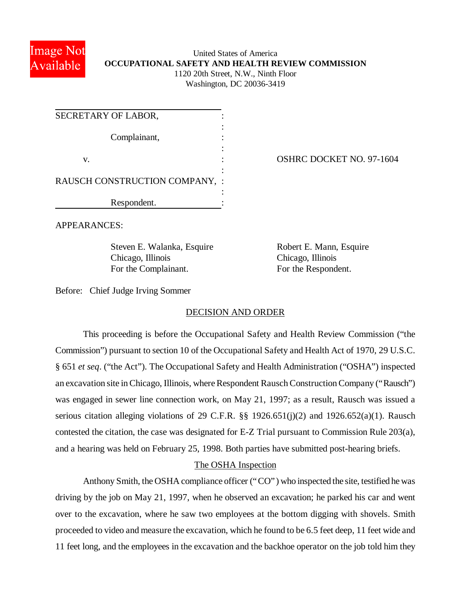

# United States of America **OCCUPATIONAL SAFETY AND HEALTH REVIEW COMMISSION** 1120 20th Street, N.W., Ninth Floor Washington, DC 20036-3419

| SECRETARY OF LABOR,            |  |
|--------------------------------|--|
| Complainant,                   |  |
| V.                             |  |
| RAUSCH CONSTRUCTION COMPANY, : |  |
| Respondent.                    |  |

OSHRC DOCKET NO. 97-1604

APPEARANCES:

Steven E. Walanka, Esquire Robert E. Mann, Esquire Chicago, Illinois Chicago, Illinois For the Complainant. For the Respondent.

Before: Chief Judge Irving Sommer

#### DECISION AND ORDER

This proceeding is before the Occupational Safety and Health Review Commission ("the Commission") pursuant to section 10 of the Occupational Safety and Health Act of 1970, 29 U.S.C. § 651 *et seq*. ("the Act"). The Occupational Safety and Health Administration ("OSHA") inspected an excavation site in Chicago, Illinois, where Respondent Rausch Construction Company ("Rausch") was engaged in sewer line connection work, on May 21, 1997; as a result, Rausch was issued a serious citation alleging violations of 29 C.F.R. §§ 1926.651(j)(2) and 1926.652(a)(1). Rausch contested the citation, the case was designated for E-Z Trial pursuant to Commission Rule 203(a), and a hearing was held on February 25, 1998. Both parties have submitted post-hearing briefs.

### The OSHA Inspection

Anthony Smith, the OSHA compliance officer ("CO") who inspected the site, testified he was driving by the job on May 21, 1997, when he observed an excavation; he parked his car and went over to the excavation, where he saw two employees at the bottom digging with shovels. Smith proceeded to video and measure the excavation, which he found to be 6.5 feet deep, 11 feet wide and 11 feet long, and the employees in the excavation and the backhoe operator on the job told him they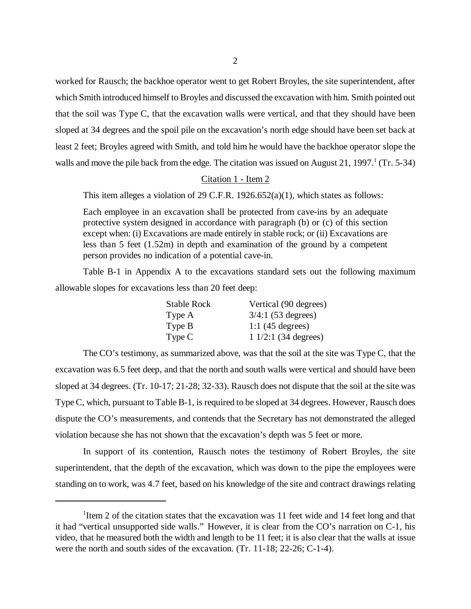worked for Rausch; the backhoe operator went to get Robert Broyles, the site superintendent, after which Smith introduced himself to Broyles and discussed the excavation with him. Smith pointed out that the soil was Type C, that the excavation walls were vertical, and that they should have been sloped at 34 degrees and the spoil pile on the excavation's north edge should have been set back at least 2 feet; Broyles agreed with Smith, and told him he would have the backhoe operator slope the walls and move the pile back from the edge. The citation was issued on August 21, 1997.<sup>1</sup> (Tr. 5-34)

### Citation 1 - Item 2

This item alleges a violation of 29 C.F.R. 1926.652(a)(1), which states as follows:

Each employee in an excavation shall be protected from cave-ins by an adequate protective system designed in accordance with paragraph (b) or (c) of this section except when: (i) Excavations are made entirely in stable rock; or (ii) Excavations are less than 5 feet (1.52m) in depth and examination of the ground by a competent person provides no indication of a potential cave-in.

Table B-1 in Appendix A to the excavations standard sets out the following maximum allowable slopes for excavations less than 20 feet deep:

| <b>Stable Rock</b> | Vertical (90 degrees)        |
|--------------------|------------------------------|
| Type A             | $3/4:1$ (53 degrees)         |
| Type B             | 1:1 $(45$ degrees)           |
| Type C             | $11/2:1(34 \text{ degrees})$ |

The CO's testimony, as summarized above, was that the soil at the site was Type C, that the excavation was 6.5 feet deep, and that the north and south walls were vertical and should have been sloped at 34 degrees. (Tr. 10-17; 21-28; 32-33). Rausch does not dispute that the soil at the site was Type C, which, pursuant to Table B-1, is required to be sloped at 34 degrees. However, Rausch does dispute the CO's measurements, and contends that the Secretary has not demonstrated the alleged violation because she has not shown that the excavation's depth was 5 feet or more.

In support of its contention, Rausch notes the testimony of Robert Broyles, the site superintendent, that the depth of the excavation, which was down to the pipe the employees were standing on to work, was 4.7 feet, based on his knowledge of the site and contract drawings relating

<sup>&</sup>lt;sup>1</sup>Item 2 of the citation states that the excavation was 11 feet wide and 14 feet long and that it had "vertical unsupported side walls." However, it is clear from the CO's narration on C-1, his video, that he measured both the width and length to be 11 feet; it is also clear that the walls at issue were the north and south sides of the excavation. (Tr. 11-18; 22-26; C-1-4).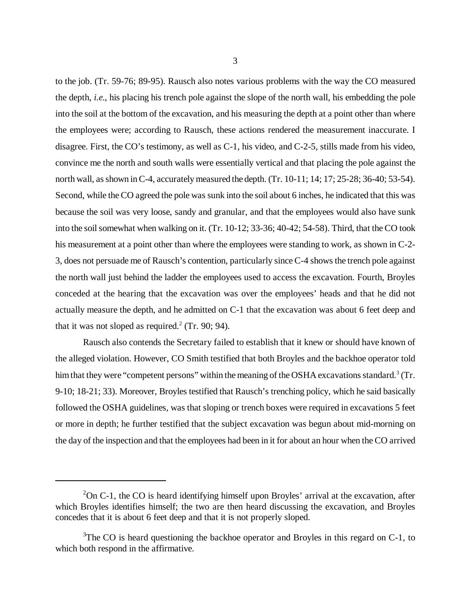to the job. (Tr. 59-76; 89-95). Rausch also notes various problems with the way the CO measured the depth, *i.e.*, his placing his trench pole against the slope of the north wall, his embedding the pole into the soil at the bottom of the excavation, and his measuring the depth at a point other than where the employees were; according to Rausch, these actions rendered the measurement inaccurate. I disagree. First, the CO's testimony, as well as C-1, his video, and C-2-5, stills made from his video, convince me the north and south walls were essentially vertical and that placing the pole against the north wall, as shown in C-4, accurately measured the depth. (Tr. 10-11; 14; 17; 25-28; 36-40; 53-54). Second, while the CO agreed the pole was sunk into the soil about 6 inches, he indicated that this was because the soil was very loose, sandy and granular, and that the employees would also have sunk into the soil somewhat when walking on it. (Tr. 10-12; 33-36; 40-42; 54-58). Third, that the CO took his measurement at a point other than where the employees were standing to work, as shown in C-2-3, does not persuade me of Rausch's contention, particularly since C-4 shows the trench pole against the north wall just behind the ladder the employees used to access the excavation. Fourth, Broyles conceded at the hearing that the excavation was over the employees' heads and that he did not actually measure the depth, and he admitted on C-1 that the excavation was about 6 feet deep and that it was not sloped as required.<sup>2</sup> (Tr. 90; 94).

Rausch also contends the Secretary failed to establish that it knew or should have known of the alleged violation. However, CO Smith testified that both Broyles and the backhoe operator told him that they were "competent persons" within the meaning of the OSHA excavations standard.<sup>3</sup> (Tr. 9-10; 18-21; 33). Moreover, Broyles testified that Rausch's trenching policy, which he said basically followed the OSHA guidelines, was that sloping or trench boxes were required in excavations 5 feet or more in depth; he further testified that the subject excavation was begun about mid-morning on the day of the inspection and that the employees had been in it for about an hour when the CO arrived

 $2$ On C-1, the CO is heard identifying himself upon Broyles' arrival at the excavation, after which Broyles identifies himself; the two are then heard discussing the excavation, and Broyles concedes that it is about 6 feet deep and that it is not properly sloped.

 $3$ The CO is heard questioning the backhoe operator and Broyles in this regard on C-1, to which both respond in the affirmative.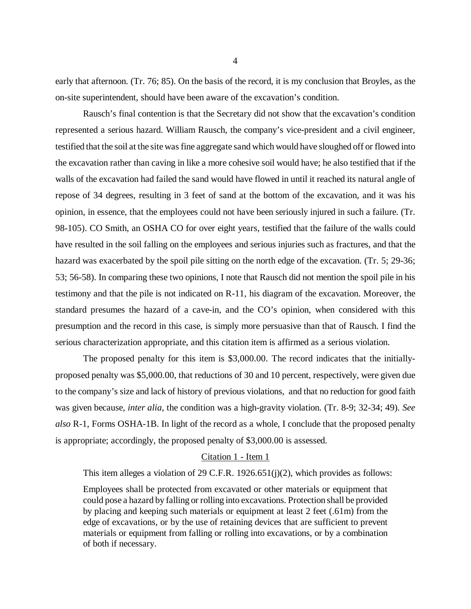early that afternoon. (Tr. 76; 85). On the basis of the record, it is my conclusion that Broyles, as the on-site superintendent, should have been aware of the excavation's condition.

Rausch's final contention is that the Secretary did not show that the excavation's condition represented a serious hazard. William Rausch, the company's vice-president and a civil engineer, testified that the soil at the site was fine aggregate sand which would have sloughed off or flowed into the excavation rather than caving in like a more cohesive soil would have; he also testified that if the walls of the excavation had failed the sand would have flowed in until it reached its natural angle of repose of 34 degrees, resulting in 3 feet of sand at the bottom of the excavation, and it was his opinion, in essence, that the employees could not have been seriously injured in such a failure. (Tr. 98-105). CO Smith, an OSHA CO for over eight years, testified that the failure of the walls could have resulted in the soil falling on the employees and serious injuries such as fractures, and that the hazard was exacerbated by the spoil pile sitting on the north edge of the excavation. (Tr. 5; 29-36; 53; 56-58). In comparing these two opinions, I note that Rausch did not mention the spoil pile in his testimony and that the pile is not indicated on R-11, his diagram of the excavation. Moreover, the standard presumes the hazard of a cave-in, and the CO's opinion, when considered with this presumption and the record in this case, is simply more persuasive than that of Rausch. I find the serious characterization appropriate, and this citation item is affirmed as a serious violation.

The proposed penalty for this item is \$3,000.00. The record indicates that the initiallyproposed penalty was \$5,000.00, that reductions of 30 and 10 percent, respectively, were given due to the company's size and lack of history of previous violations, and that no reduction for good faith was given because, *inter alia*, the condition was a high-gravity violation. (Tr. 8-9; 32-34; 49). *See also* R-1, Forms OSHA-1B. In light of the record as a whole, I conclude that the proposed penalty is appropriate; accordingly, the proposed penalty of \$3,000.00 is assessed.

#### Citation 1 - Item 1

This item alleges a violation of 29 C.F.R. 1926.651(j)(2), which provides as follows:

Employees shall be protected from excavated or other materials or equipment that could pose a hazard by falling or rolling into excavations. Protection shall be provided by placing and keeping such materials or equipment at least 2 feet (.61m) from the edge of excavations, or by the use of retaining devices that are sufficient to prevent materials or equipment from falling or rolling into excavations, or by a combination of both if necessary.